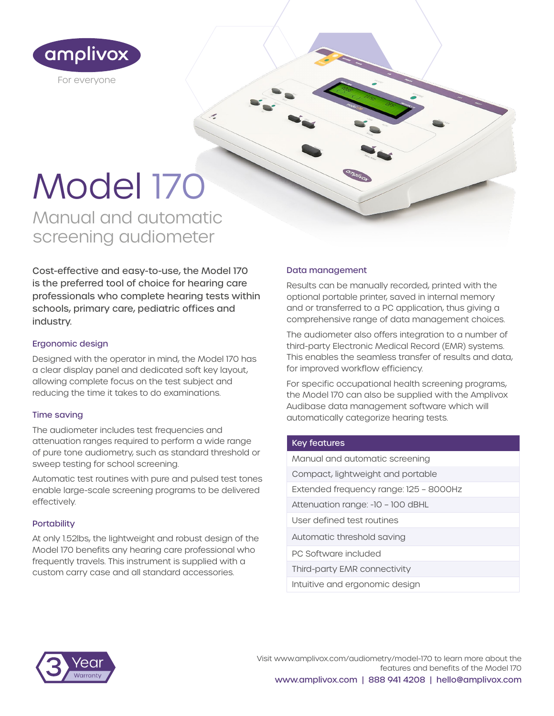

# Model 170

Manual and automatic screening audiometer

Cost-effective and easy-to-use, the Model 170 is the preferred tool of choice for hearing care professionals who complete hearing tests within schools, primary care, pediatric offices and industry.

 $\epsilon$ 

#### Ergonomic design

Designed with the operator in mind, the Model 170 has a clear display panel and dedicated soft key layout, allowing complete focus on the test subject and reducing the time it takes to do examinations.

#### Time saving

The audiometer includes test frequencies and attenuation ranges required to perform a wide range of pure tone audiometry, such as standard threshold or sweep testing for school screening.

Automatic test routines with pure and pulsed test tones enable large-scale screening programs to be delivered effectively.

#### **Portability**

At only 1.52lbs, the lightweight and robust design of the Model 170 benefits any hearing care professional who frequently travels. This instrument is supplied with a custom carry case and all standard accessories.

#### Data management

Results can be manually recorded, printed with the optional portable printer, saved in internal memory and or transferred to a PC application, thus giving a comprehensive range of data management choices.

The audiometer also offers integration to a number of third-party Electronic Medical Record (EMR) systems. This enables the seamless transfer of results and data, for improved workflow efficiency.

For specific occupational health screening programs, the Model 170 can also be supplied with the Amplivox Audibase data management software which will automatically categorize hearing tests.

#### Key features

| Manual and automatic screening         |
|----------------------------------------|
| Compact, lightweight and portable      |
| Extended frequency range: 125 - 8000Hz |
| Attenuation range: -10 - 100 dBHL      |
| User defined test routines             |
| Automatic threshold saving             |
| PC Software included                   |
| Third-party EMR connectivity           |
| Intuitive and ergonomic design         |